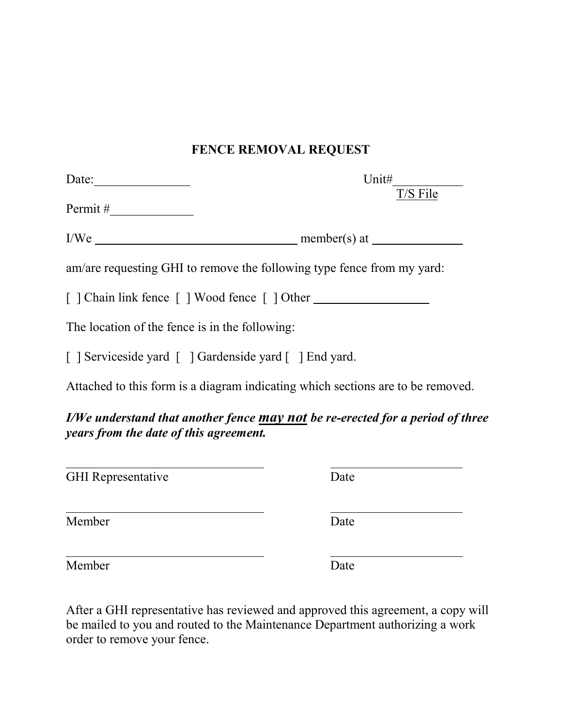## **FENCE REMOVAL REQUEST**

| Date:                                          | Unit#                                                                           |
|------------------------------------------------|---------------------------------------------------------------------------------|
|                                                | T/S File                                                                        |
|                                                |                                                                                 |
|                                                | am/are requesting GHI to remove the following type fence from my yard:          |
|                                                | [ ] Chain link fence [ ] Wood fence [ ] Other                                   |
| The location of the fence is in the following: |                                                                                 |
|                                                | [ ] Serviceside yard [ ] Gardenside yard [ ] End yard.                          |
|                                                | Attached to this form is a diagram indicating which sections are to be removed. |
| years from the date of this agreement.         | I/We understand that another fence may not be re-erected for a period of three  |
| <b>GHI</b> Representative                      | Date                                                                            |
| Member                                         | Date                                                                            |
| Member                                         | Date                                                                            |

After a GHI representative has reviewed and approved this agreement, a copy will be mailed to you and routed to the Maintenance Department authorizing a work order to remove your fence.